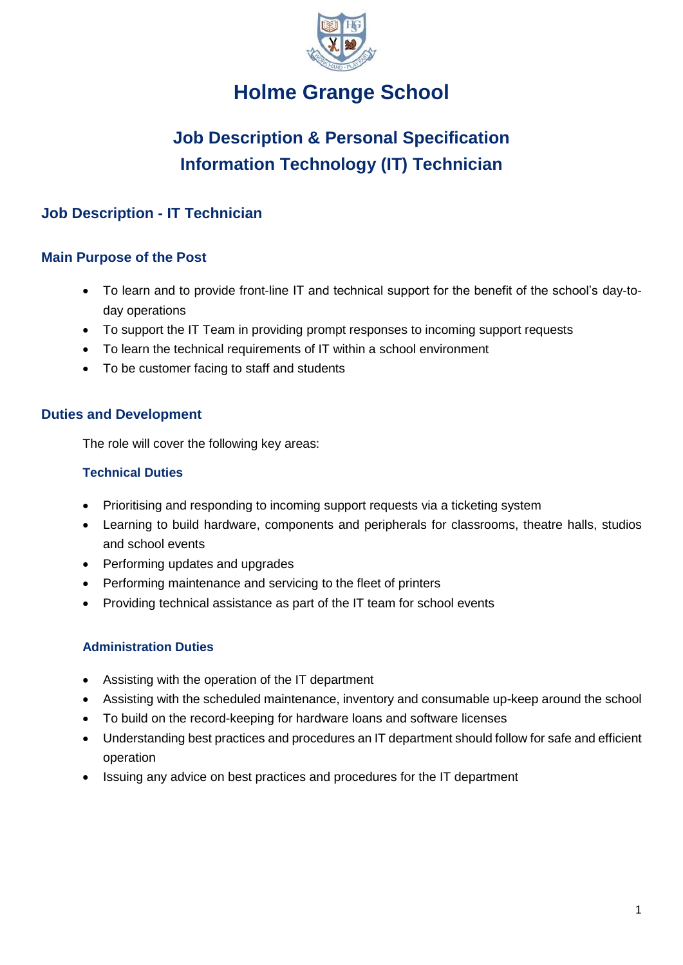

## **Holme Grange School**

# **Job Description & Personal Specification Information Technology (IT) Technician**

## **Job Description - IT Technician**

### **Main Purpose of the Post**

- To learn and to provide front-line IT and technical support for the benefit of the school's day-today operations
- To support the IT Team in providing prompt responses to incoming support requests
- To learn the technical requirements of IT within a school environment
- To be customer facing to staff and students

### **Duties and Development**

The role will cover the following key areas:

#### **Technical Duties**

- Prioritising and responding to incoming support requests via a ticketing system
- Learning to build hardware, components and peripherals for classrooms, theatre halls, studios and school events
- Performing updates and upgrades
- Performing maintenance and servicing to the fleet of printers
- Providing technical assistance as part of the IT team for school events

### **Administration Duties**

- Assisting with the operation of the IT department
- Assisting with the scheduled maintenance, inventory and consumable up-keep around the school
- To build on the record-keeping for hardware loans and software licenses
- Understanding best practices and procedures an IT department should follow for safe and efficient operation
- Issuing any advice on best practices and procedures for the IT department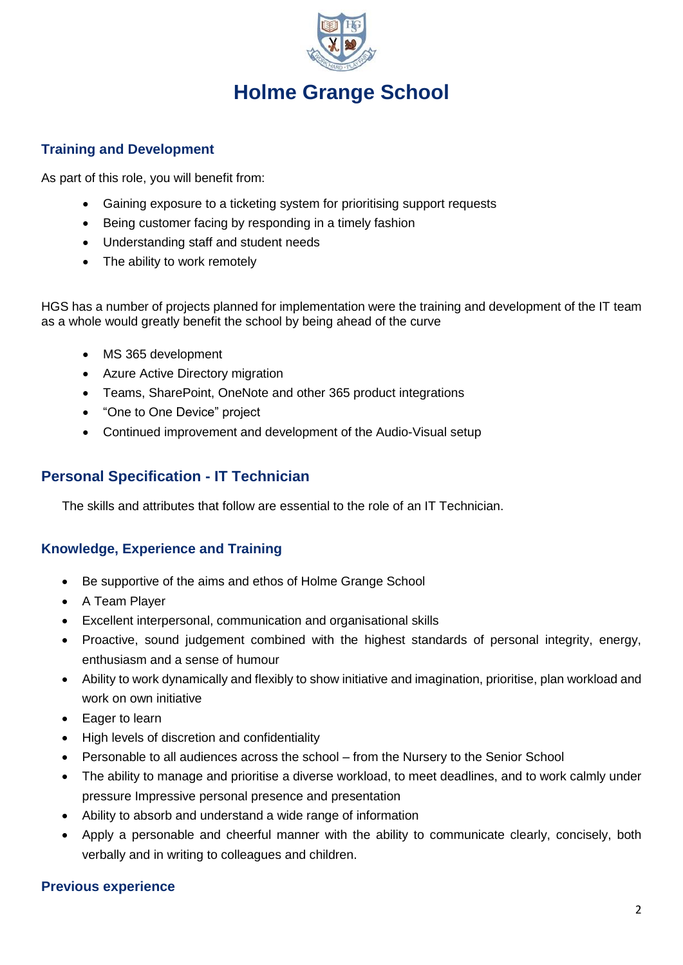

# **Holme Grange School**

#### **Training and Development**

As part of this role, you will benefit from:

- Gaining exposure to a ticketing system for prioritising support requests
- Being customer facing by responding in a timely fashion
- Understanding staff and student needs
- The ability to work remotely

HGS has a number of projects planned for implementation were the training and development of the IT team as a whole would greatly benefit the school by being ahead of the curve

- MS 365 development
- Azure Active Directory migration
- Teams, SharePoint, OneNote and other 365 product integrations
- "One to One Device" project
- Continued improvement and development of the Audio-Visual setup

## **Personal Specification - IT Technician**

The skills and attributes that follow are essential to the role of an IT Technician.

#### **Knowledge, Experience and Training**

- Be supportive of the aims and ethos of Holme Grange School
- A Team Player
- Excellent interpersonal, communication and organisational skills
- Proactive, sound judgement combined with the highest standards of personal integrity, energy, enthusiasm and a sense of humour
- Ability to work dynamically and flexibly to show initiative and imagination, prioritise, plan workload and work on own initiative
- Eager to learn
- High levels of discretion and confidentiality
- Personable to all audiences across the school from the Nursery to the Senior School
- The ability to manage and prioritise a diverse workload, to meet deadlines, and to work calmly under pressure Impressive personal presence and presentation
- Ability to absorb and understand a wide range of information
- Apply a personable and cheerful manner with the ability to communicate clearly, concisely, both verbally and in writing to colleagues and children.

#### **Previous experience**